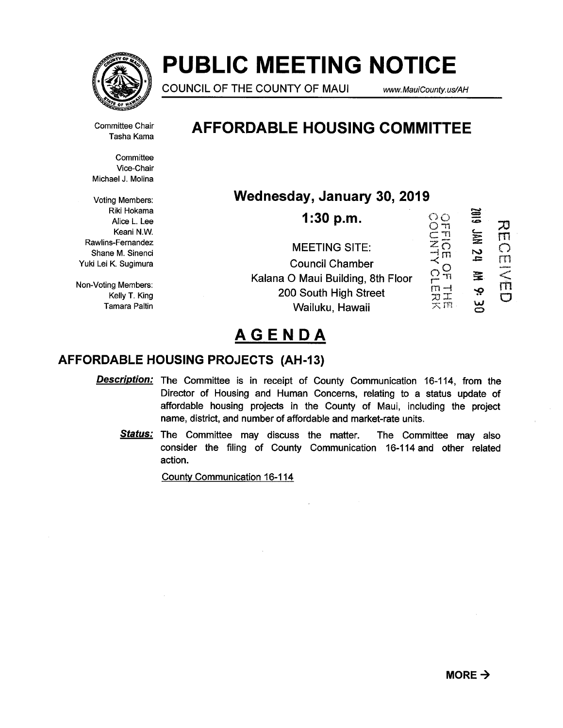

# PUBLIC MEETING NOTICE

COUNCIL OF THE COUNTY OF MAUI www.MauiCounty.us/AH

Committee Chair Tasha Kama

**Committee** Vice-Chair Michael J. Molina

Voting Members: Riki Hokama Alice L. Lee Keani N.W. Rawlins-Fernandez Shane M. Sinenci Yuki Lei K. Sugimura

Non-Voting Members: Kelly T. King Tamara Paltin

# AFFORDABLE HOUSING COMMITTEE

Wednesday, January 30, 2019

၀<br>၀ <del>၅</del> し<br>こ<u>コ</u>  $\exists$  m OF TE  $\mathfrak v$   $\mathfrak T$  $\asymp$  rn 1:30 p.m. MEETING SITE: Council Chamber Kalana 0 Maui Building, 8th Floor 200 South High Street Wailuku, Hawaii



# AGENDA

# AFFORDABLE HOUSING PROJECTS (AH-13)

- **Description:** The Committee is in receipt of County Communication 16-114, from the Director of Housing and Human Concerns, relating to a status update of affordable housing projects in the County of Maui, including the project name, district, and number of affordable and market-rate units.
	- Status: The Committee may discuss the matter. The Committee may also consider the filing of County Communication 16-114 and other related action.

County Communication 16-1 14